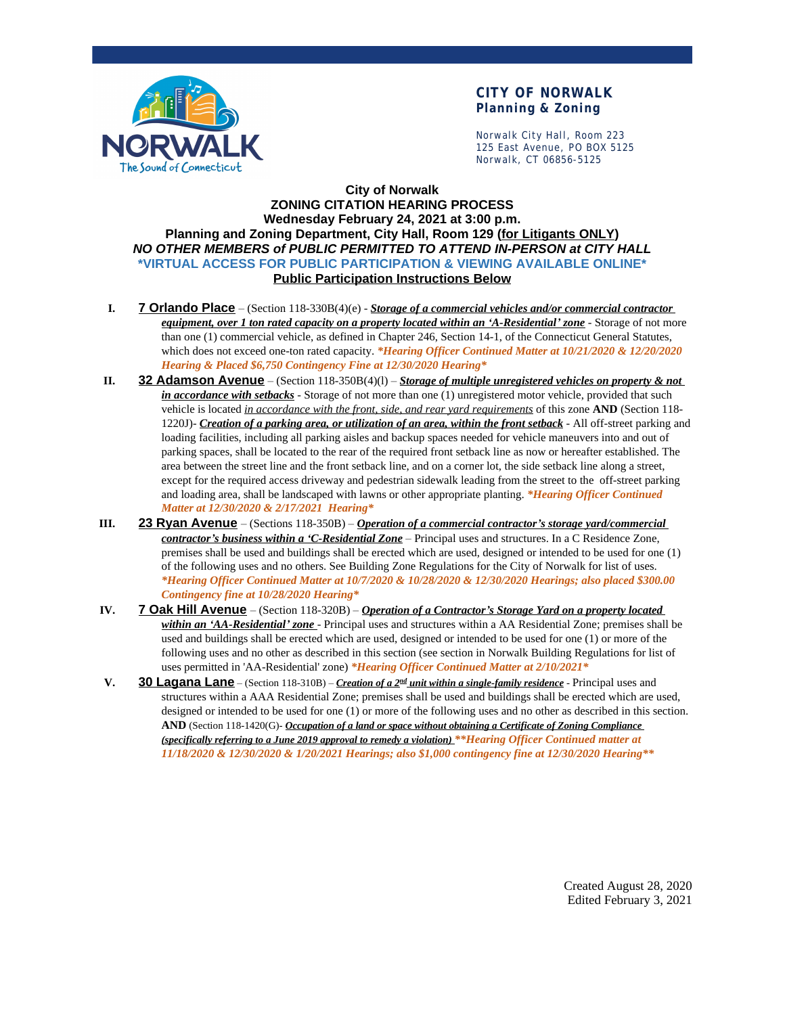

## **CITY OF NORWALK Planning & Zoning**

Norwalk City Hall, Room 223 125 East Avenue, PO BOX 5125 Norwalk, CT 06856-5125

## **City of Norwalk ZONING CITATION HEARING PROCESS Wednesday February 24, 2021 at 3:00 p.m. Planning and Zoning Department, City Hall, Room 129 (for Litigants ONLY)** *NO OTHER MEMBERS of PUBLIC PERMITTED TO ATTEND IN-PERSON at CITY HALL* **\*VIRTUAL ACCESS FOR PUBLIC PARTICIPATION & VIEWING AVAILABLE ONLINE\* Public Participation Instructions Below**

- **I. 7 Orlando Place** (Section 118-330B(4)(e) *Storage of a commercial vehicles and/or commercial contractor equipment, over 1 ton rated capacity on a property located within an 'A-Residential' zone* - Storage of not more than one (1) commercial vehicle, as defined in Chapter 246, Section 14-1, of the Connecticut General Statutes, which does not exceed one-ton rated capacity. *\*Hearing Officer Continued Matter at 10/21/2020 & 12/20/2020 Hearing & Placed \$6,750 Contingency Fine at 12/30/2020 Hearing\**
- **II. 32 Adamson Avenue** (Section 118-350B(4)(l) *Storage of multiple unregistered vehicles on property & not in accordance with setbacks* - Storage of not more than one (1) unregistered motor vehicle, provided that such vehicle is located *in accordance with the front, side, and rear yard requirements* of this zone **AND** (Section 118- 1220J)- *Creation of a parking area, or utilization of an area, within the front setback* - All off-street parking and loading facilities, including all parking aisles and backup spaces needed for vehicle maneuvers into and out of parking spaces, shall be located to the rear of the required front setback line as now or hereafter established. The area between the street line and the front setback line, and on a corner lot, the side setback line along a street, except for the required access driveway and pedestrian sidewalk leading from the street to the off-street parking and loading area, shall be landscaped with lawns or other appropriate planting. *\*Hearing Officer Continued Matter at 12/30/2020 & 2/17/2021 Hearing\**
- **III. 23 Ryan Avenue** (Sections 118-350B) *Operation of a commercial contractor's storage yard/commercial contractor's business within a 'C-Residential Zone* – Principal uses and structures. In a C Residence Zone, premises shall be used and buildings shall be erected which are used, designed or intended to be used for one (1) of the following uses and no others. See Building Zone Regulations for the City of Norwalk for list of uses. *\*Hearing Officer Continued Matter at 10/7/2020 & 10/28/2020 & 12/30/2020 Hearings; also placed \$300.00 Contingency fine at 10/28/2020 Hearing\**
- **IV. 7 Oak Hill Avenue** (Section 118-320B) *Operation of a Contractor's Storage Yard on a property located within an 'AA-Residential' zone* - Principal uses and structures within a AA Residential Zone; premises shall be used and buildings shall be erected which are used, designed or intended to be used for one (1) or more of the following uses and no other as described in this section (see section in Norwalk Building Regulations for list of uses permitted in 'AA-Residential' zone) *\*Hearing Officer Continued Matter at 2/10/2021\**
- **V. 30 Lagana Lane** (Section 118-310B) *Creation of a 2<sup>nd</sup> unit within a single-family residence* Principal uses and structures within a AAA Residential Zone; premises shall be used and buildings shall be erected which are used, designed or intended to be used for one (1) or more of the following uses and no other as described in this section. **AND** (Section 118-1420(G)- *Occupation of a land or space without obtaining a Certificate of Zoning Compliance (specifically referring to a June 2019 approval to remedy a violation) \*\*Hearing Officer Continued matter at 11/18/2020 & 12/30/2020 & 1/20/2021 Hearings; also \$1,000 contingency fine at 12/30/2020 Hearing\*\**

Created August 28, 2020 Edited February 3, 2021